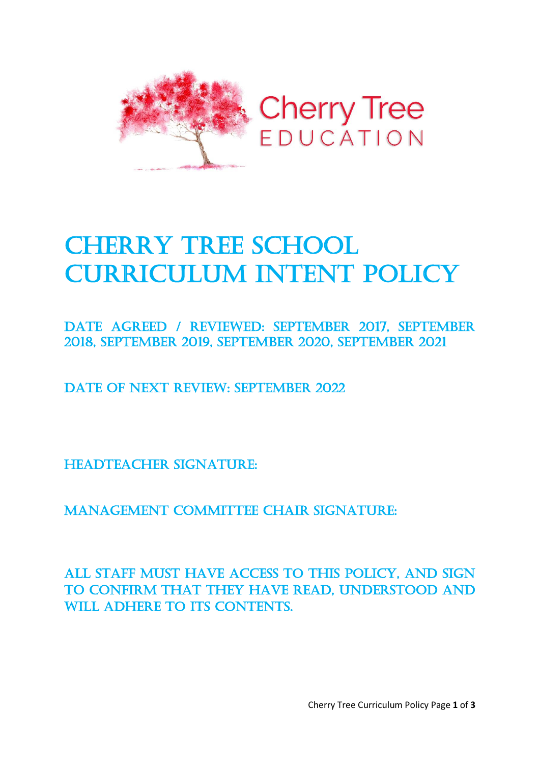

# **CHERRY TREE SCHOOL CURRICULUM INTENT POLICY**

Date Agreed / REVIEWED: September 2017, September 2018, September 2019, September 2020, September 2021

DATE OF NEXT REVIEW: SEPTEMBER 2022

HEADTEACHER SIGNATURE:

MANAGEMENT COMMITTEE CHAIR SIGNATURE:

All staff must have access to this policy, and sign to confirm that they have read, understood and WILL ADHERE TO ITS CONTENTS.

Cherry Tree Curriculum Policy Page **1** of **3**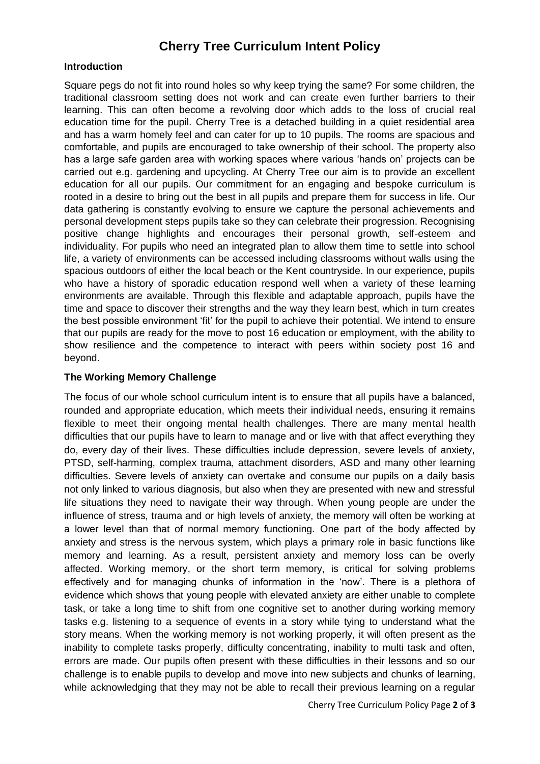# **Cherry Tree Curriculum Intent Policy**

#### **Introduction**

Square pegs do not fit into round holes so why keep trying the same? For some children, the traditional classroom setting does not work and can create even further barriers to their learning. This can often become a revolving door which adds to the loss of crucial real education time for the pupil. Cherry Tree is a detached building in a quiet residential area and has a warm homely feel and can cater for up to 10 pupils. The rooms are spacious and comfortable, and pupils are encouraged to take ownership of their school. The property also has a large safe garden area with working spaces where various 'hands on' projects can be carried out e.g. gardening and upcycling. At Cherry Tree our aim is to provide an excellent education for all our pupils. Our commitment for an engaging and bespoke curriculum is rooted in a desire to bring out the best in all pupils and prepare them for success in life. Our data gathering is constantly evolving to ensure we capture the personal achievements and personal development steps pupils take so they can celebrate their progression. Recognising positive change highlights and encourages their personal growth, self-esteem and individuality. For pupils who need an integrated plan to allow them time to settle into school life, a variety of environments can be accessed including classrooms without walls using the spacious outdoors of either the local beach or the Kent countryside. In our experience, pupils who have a history of sporadic education respond well when a variety of these learning environments are available. Through this flexible and adaptable approach, pupils have the time and space to discover their strengths and the way they learn best, which in turn creates the best possible environment 'fit' for the pupil to achieve their potential. We intend to ensure that our pupils are ready for the move to post 16 education or employment, with the ability to show resilience and the competence to interact with peers within society post 16 and beyond.

#### **The Working Memory Challenge**

The focus of our whole school curriculum intent is to ensure that all pupils have a balanced, rounded and appropriate education, which meets their individual needs, ensuring it remains flexible to meet their ongoing mental health challenges. There are many mental health difficulties that our pupils have to learn to manage and or live with that affect everything they do, every day of their lives. These difficulties include depression, severe levels of anxiety, PTSD, self-harming, complex trauma, attachment disorders, ASD and many other learning difficulties. Severe levels of anxiety can overtake and consume our pupils on a daily basis not only linked to various diagnosis, but also when they are presented with new and stressful life situations they need to navigate their way through. When young people are under the influence of stress, trauma and or high levels of anxiety, the memory will often be working at a lower level than that of normal memory functioning. One part of the body affected by anxiety and stress is the nervous system, which plays a primary role in basic functions like memory and learning. As a result, persistent anxiety and memory loss can be overly affected. Working memory, or the short term memory, is critical for solving problems effectively and for managing chunks of information in the 'now'. There is a plethora of evidence which shows that young people with elevated anxiety are either unable to complete task, or take a long time to shift from one cognitive set to another during working memory tasks e.g. listening to a sequence of events in a story while tying to understand what the story means. When the working memory is not working properly, it will often present as the inability to complete tasks properly, difficulty concentrating, inability to multi task and often, errors are made. Our pupils often present with these difficulties in their lessons and so our challenge is to enable pupils to develop and move into new subjects and chunks of learning, while acknowledging that they may not be able to recall their previous learning on a regular